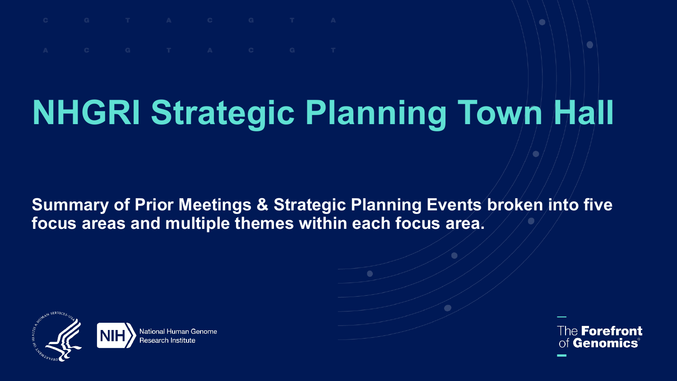## **NHGRI Strategic Planning Town Hall**

**Summary of Prior Meetings & Strategic Planning Events broken into five focus areas and multiple themes within each focus area.**



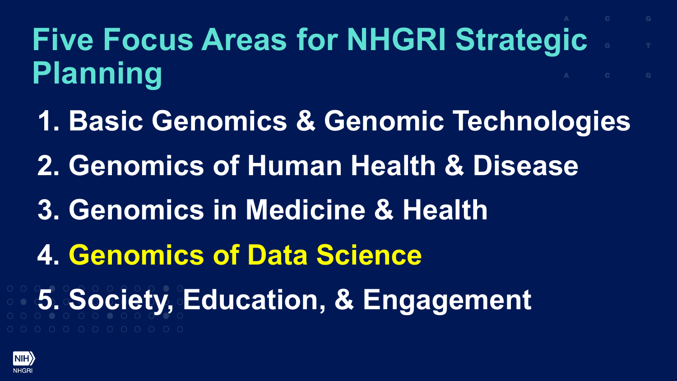## **Five Focus Areas for NHGRI Strategic Planning**

**1. Basic Genomics & Genomic Technologies 2. Genomics of Human Health & Disease 3. Genomics in Medicine & Health 4. Genomics of Data Science 5. Society, Education, & Engagement**

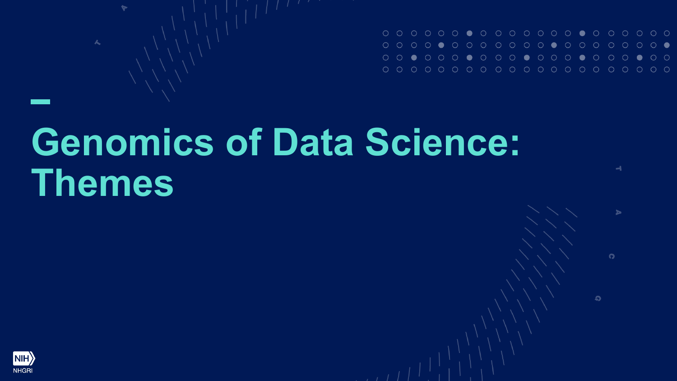$\rightarrow$ 

ь

 $\Omega$ 

ၵ

## **Genomics of Data Science: Themes**

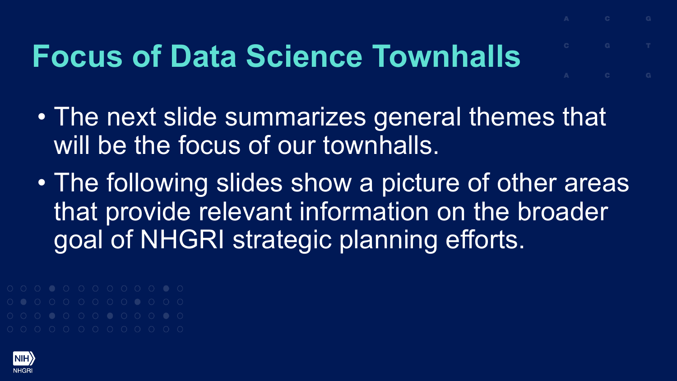## **Focus of Data Science Townhalls**

- The next slide summarizes general themes that will be the focus of our townhalls.
- The following slides show a picture of other areas that provide relevant information on the broader goal of NHGRI strategic planning efforts.

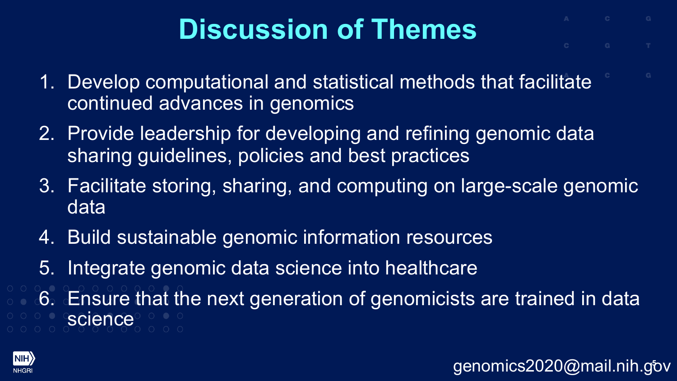- 1. Develop computational and statistical methods that facilitate continued advances in genomics
- 2. Provide leadership for developing and refining genomic data sharing guidelines, policies and best practices
- 3. Facilitate storing, sharing, and computing on large-scale genomic data
- 4. Build sustainable genomic information resources
- 5. Integrate genomic data science into healthcare
- 6. Ensure that the next generation of genomicists are trained in data science

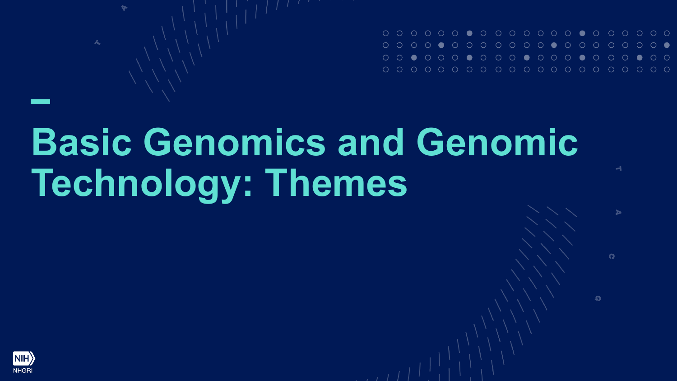| 000000000000000000000                                               |  |  |  |  |  |  |  |  |  |  |
|---------------------------------------------------------------------|--|--|--|--|--|--|--|--|--|--|
| 00 <b>.</b> 000 <b>.</b> 000 <b>.</b> 000 <b>.</b> 000 <b>.</b> 000 |  |  |  |  |  |  |  |  |  |  |
|                                                                     |  |  |  |  |  |  |  |  |  |  |

니

 $\Omega$ 

G

# **Basic Genomics and Genomic Technology: Themes**

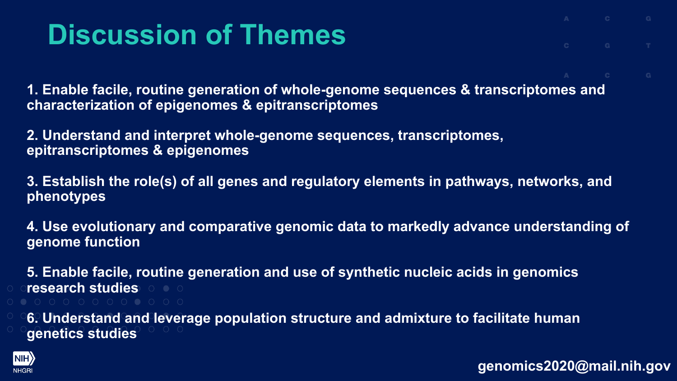**1. Enable facile, routine generation of whole-genome sequences & transcriptomes and characterization of epigenomes & epitranscriptomes**

**2. Understand and interpret whole-genome sequences, transcriptomes, epitranscriptomes & epigenomes**

**3. Establish the role(s) of all genes and regulatory elements in pathways, networks, and phenotypes**

**4. Use evolutionary and comparative genomic data to markedly advance understanding of genome function**

**5. Enable facile, routine generation and use of synthetic nucleic acids in genomics research studies**

**6. Understand and leverage population structure and admixture to facilitate human genetics studies**

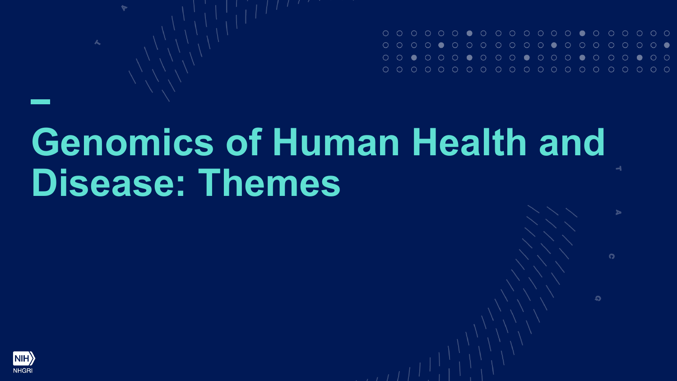$\Omega$ 

Q

## **Genomics of Human Health and Disease: Themes**

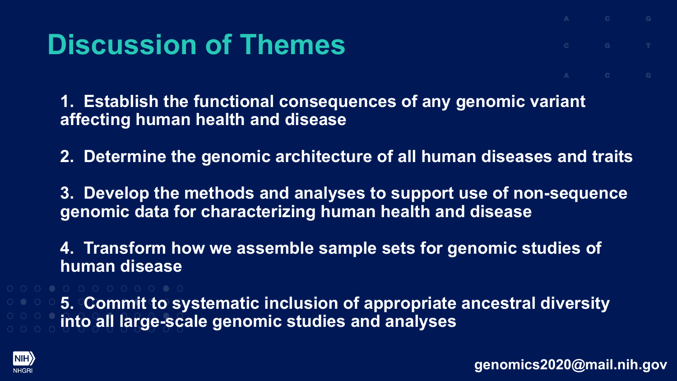**1. Establish the functional consequences of any genomic variant affecting human health and disease**

**2. Determine the genomic architecture of all human diseases and traits**

**3. Develop the methods and analyses to support use of non-sequence genomic data for characterizing human health and disease**

**4. Transform how we assemble sample sets for genomic studies of human disease**

**5. Commit to systematic inclusion of appropriate ancestral diversity into all large-scale genomic studies and analyses**

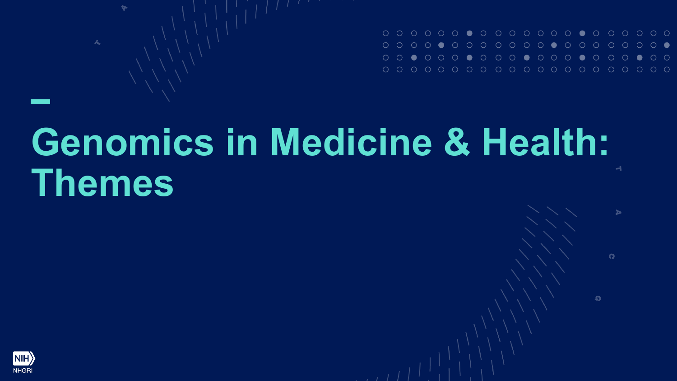$\Omega$ 

ၵ

#### **Genomics in Medicine & Health:**   $\rightarrow$ **Themes**

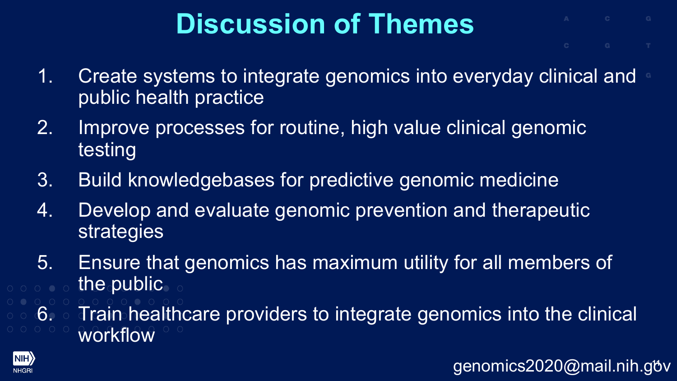- 
- 1. Create systems to integrate genomics into everyday clinical and public health practice
- 2. Improve processes for routine, high value clinical genomic testing
- 3. Build knowledgebases for predictive genomic medicine
- 4. Develop and evaluate genomic prevention and therapeutic strategies
- 5. Ensure that genomics has maximum utility for all members of the public
- 6. Train healthcare providers to integrate genomics into the clinical workflow

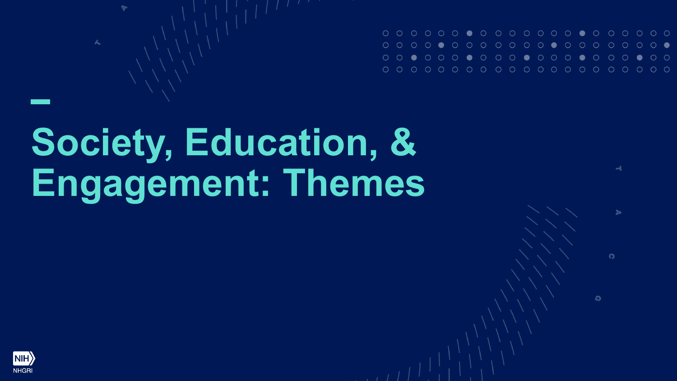

 $\Omega$ 

Q

# **Society, Education, & Engagement: Themes**

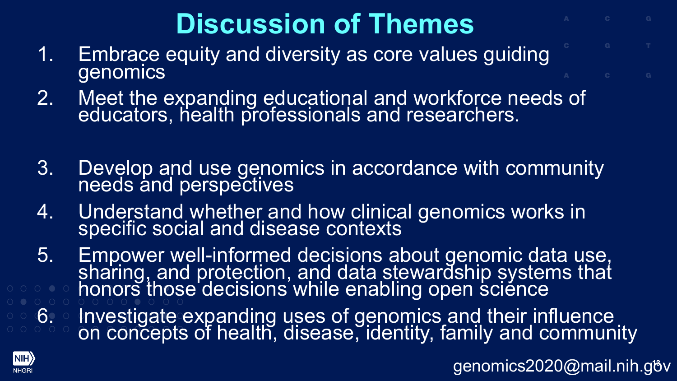- 1. Embrace equity and diversity as core values guiding genomics
- 2. Meet the expanding educational and workforce needs of educators, health professionals and researchers.
- 3. Develop and use genomics in accordance with community needs and perspectives
- 4. Understand whether and how clinical genomics works in specific social and disease contexts
- 5. Empower well-informed decisions about genomic data use,<br>sharing, and protection, and data stewardship systems that honors those decisions while enabling open science
- 6. Investigate expanding uses of genomics and their influence on concepts of health, disease, identity, family and community